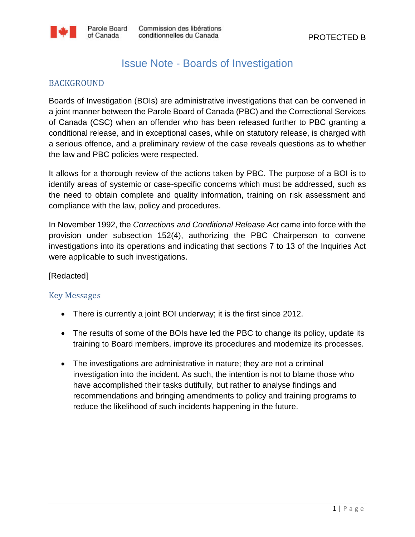## Issue Note - Boards of Investigation

## BACKGROUND

Boards of Investigation (BOIs) are administrative investigations that can be convened in a joint manner between the Parole Board of Canada (PBC) and the Correctional Services of Canada (CSC) when an offender who has been released further to PBC granting a conditional release, and in exceptional cases, while on statutory release, is charged with a serious offence, and a preliminary review of the case reveals questions as to whether the law and PBC policies were respected.

It allows for a thorough review of the actions taken by PBC. The purpose of a BOI is to identify areas of systemic or case-specific concerns which must be addressed, such as the need to obtain complete and quality information, training on risk assessment and compliance with the law, policy and procedures.

In November 1992, the *Corrections and Conditional Release Act* came into force with the provision under subsection 152(4), authorizing the PBC Chairperson to convene investigations into its operations and indicating that sections 7 to 13 of the Inquiries Act were applicable to such investigations.

[Redacted]

## Key Messages

- There is currently a joint BOI underway; it is the first since 2012.
- The results of some of the BOIs have led the PBC to change its policy, update its training to Board members, improve its procedures and modernize its processes.
- The investigations are administrative in nature; they are not a criminal investigation into the incident. As such, the intention is not to blame those who have accomplished their tasks dutifully, but rather to analyse findings and recommendations and bringing amendments to policy and training programs to reduce the likelihood of such incidents happening in the future.